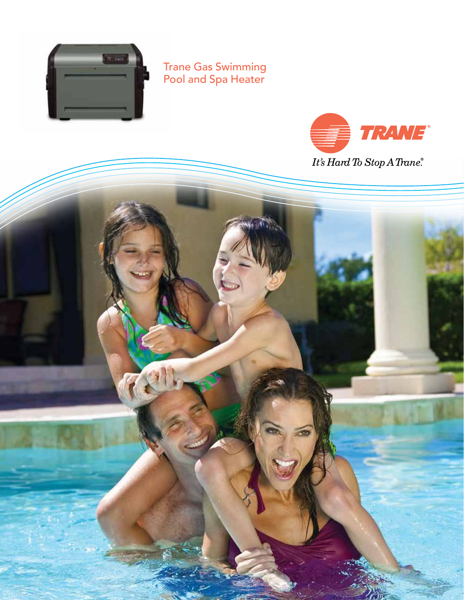

Trane Gas Swimming Pool and Spa Heater



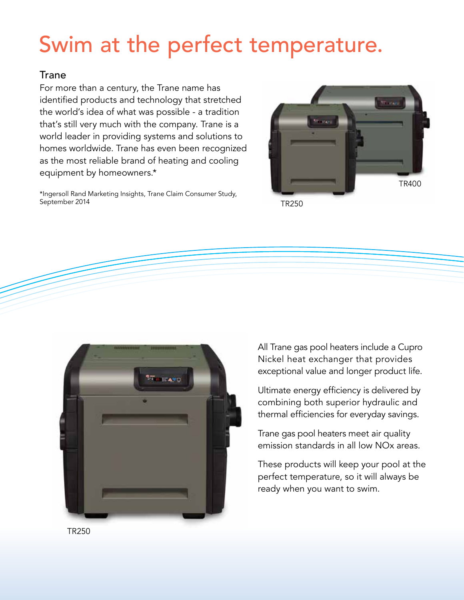# Swim at the perfect temperature.

### **Trane**

For more than a century, the Trane name has identified products and technology that stretched the world's idea of what was possible - a tradition that's still very much with the company. Trane is a world leader in providing systems and solutions to homes worldwide. Trane has even been recognized as the most reliable brand of heating and cooling equipment by homeowners.\*

\*Ingersoll Rand Marketing Insights, Trane Claim Consumer Study, September 2014



TR250



All Trane gas pool heaters include a Cupro Nickel heat exchanger that provides exceptional value and longer product life.

Ultimate energy efficiency is delivered by combining both superior hydraulic and thermal efficiencies for everyday savings.

Trane gas pool heaters meet air quality emission standards in all low NOx areas.

These products will keep your pool at the perfect temperature, so it will always be ready when you want to swim.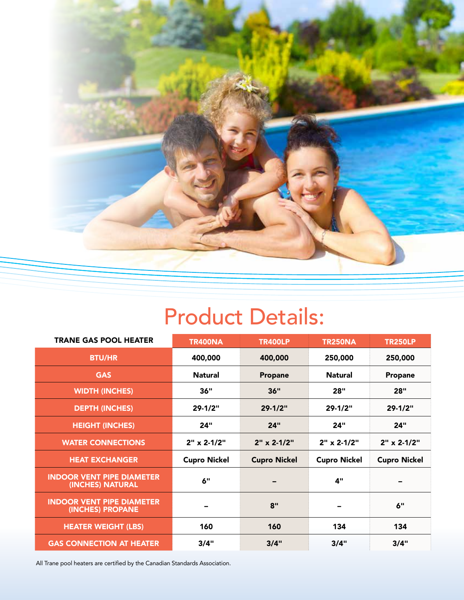

## Product Details:

| <b>TRANE GAS POOL HEATER</b>                         | <b>TR400NA</b>      | <b>TR400LP</b>       | <b>TR250NA</b>           | <b>TR250LP</b>       |  |
|------------------------------------------------------|---------------------|----------------------|--------------------------|----------------------|--|
| <b>BTU/HR</b>                                        | 400,000             | 400,000              | 250,000                  | 250,000              |  |
| <b>GAS</b>                                           | <b>Natural</b>      | Propane              | Natural                  | Propane              |  |
| <b>WIDTH (INCHES)</b>                                | 36"                 | 36"                  | 28"                      | <b>28"</b>           |  |
| <b>DEPTH (INCHES)</b>                                | 29-1/2"             | $29 - 1/2"$          | $29 - 1/2"$              | $29 - 1/2"$          |  |
| <b>HEIGHT (INCHES)</b>                               | 24"                 | 24"                  | 24"                      | 24"                  |  |
| <b>WATER CONNECTIONS</b>                             | $2"$ x 2-1/2"       | $2" \times 2 - 1/2"$ | $2" \times 2 - 1/2"$     | $2" \times 2 - 1/2"$ |  |
| <b>HEAT EXCHANGER</b>                                | <b>Cupro Nickel</b> | <b>Cupro Nickel</b>  | <b>Cupro Nickel</b>      | <b>Cupro Nickel</b>  |  |
| <b>INDOOR VENT PIPE DIAMETER</b><br>(INCHES) NATURAL | 6"                  |                      | 4"                       |                      |  |
| <b>INDOOR VENT PIPE DIAMETER</b><br>(INCHES) PROPANE | -                   | 8"                   | $\overline{\phantom{0}}$ | 6"                   |  |
| <b>HEATER WEIGHT (LBS)</b>                           | 160                 | 160                  | 134                      | 134                  |  |
| <b>GAS CONNECTION AT HEATER</b>                      | 3/4"                | 3/4"                 | 3/4"                     | 3/4"                 |  |

All Trane pool heaters are certified by the Canadian Standards Association.